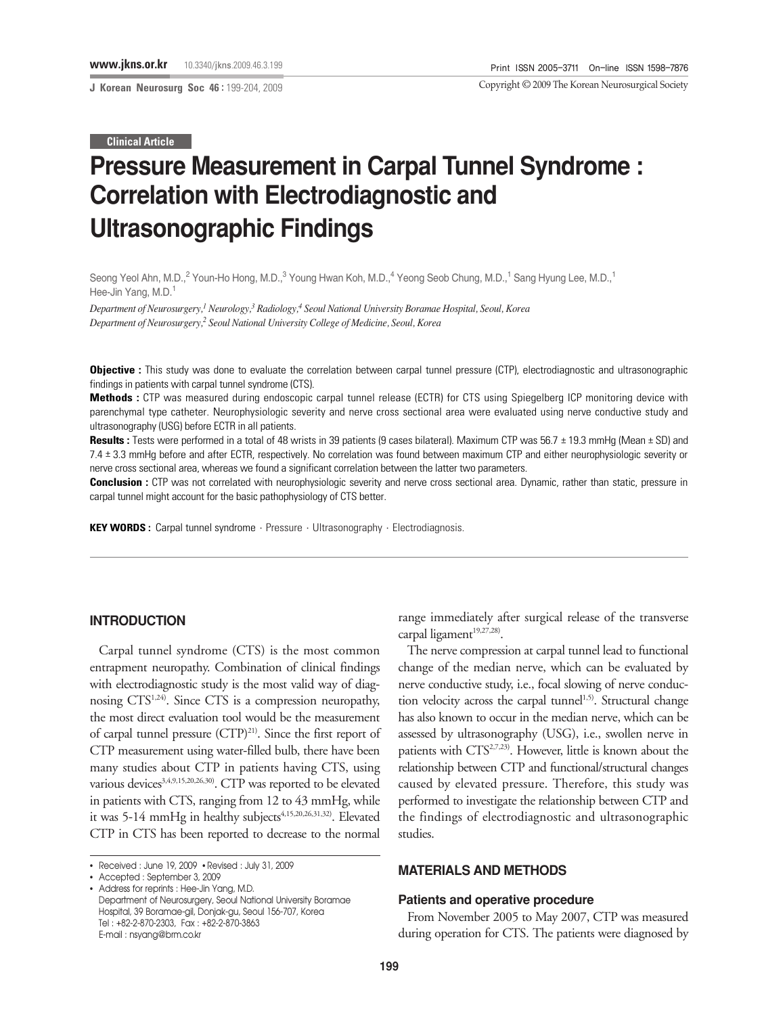**J Korean Neurosurg Soc 46 :** 199-204, 2009

Copyright ©2009 The Korean Neurosurgical Society

#### **Clinical Article**

# **Pressure Measurement in Carpal Tunnel Syndrome : Correlation with Electrodiagnostic and Ultrasonographic Findings**

Seong Yeol Ahn, M.D.,<sup>2</sup> Youn-Ho Hong, M.D.,<sup>3</sup> Young Hwan Koh, M.D.,<sup>4</sup> Yeong Seob Chung, M.D.,<sup>1</sup> Sang Hyung Lee, M.D.,<sup>1</sup> Hee-Jin Yang, M.D.<sup>1</sup>

*Department of Neurosurgery,1 Neurology,3 Radiology,4 Seoul National University Boramae Hospital, Seoul, Korea Department of Neurosurgery,2 Seoul National University College of Medicine, Seoul, Korea*

**Objective :** This study was done to evaluate the correlation between carpal tunnel pressure (CTP), electrodiagnostic and ultrasonographic findings in patients with carpal tunnel syndrome (CTS).

**Methods :** CTP was measured during endoscopic carpal tunnel release (ECTR) for CTS using Spiegelberg ICP monitoring device with parenchymal type catheter. Neurophysiologic severity and nerve cross sectional area were evaluated using nerve conductive study and ultrasonography (USG) before ECTR in all patients.

**Results :** Tests were performed in a total of 48 wrists in 39 patients (9 cases bilateral). Maximum CTP was 56.7 ± 19.3 mmHg (Mean ± SD) and 7.4 ± 3.3 mmHg before and after ECTR, respectively. No correlation was found between maximum CTP and either neurophysiologic severity or nerve cross sectional area, whereas we found a significant correlation between the latter two parameters.

**Conclusion :** CTP was not correlated with neurophysiologic severity and nerve cross sectional area. Dynamic, rather than static, pressure in carpal tunnel might account for the basic pathophysiology of CTS better.

**KEY WORDS :** Carpal tunnel syndrome · Pressure · Ultrasonography · Electrodiagnosis.

## **INTRODUCTION**

Carpal tunnel syndrome (CTS) is the most common entrapment neuropathy. Combination of clinical findings with electrodiagnostic study is the most valid way of diagnosing CTS1,24). Since CTS is a compression neuropathy, the most direct evaluation tool would be the measurement of carpal tunnel pressure  $(TTP)^{21}$ . Since the first report of CTP measurement using water-filled bulb, there have been many studies about CTP in patients having CTS, using various devices<sup>3,4,9,15,20,26,30)</sup>. CTP was reported to be elevated in patients with CTS, ranging from 12 to 43 mmHg, while it was 5-14 mmHg in healthy subjects<sup>4,15,20,26,31,32)</sup>. Elevated CTP in CTS has been reported to decrease to the normal

• Accepted : September 3, 2009

range immediately after surgical release of the transverse carpal ligament<sup>19,27,28)</sup>.

The nerve compression at carpal tunnel lead to functional change of the median nerve, which can be evaluated by nerve conductive study, i.e., focal slowing of nerve conduction velocity across the carpal tunnel<sup>1,5)</sup>. Structural change has also known to occur in the median nerve, which can be assessed by ultrasonography (USG), i.e., swollen nerve in patients with CTS<sup>2,7,23</sup>). However, little is known about the relationship between CTP and functional/structural changes caused by elevated pressure. Therefore, this study was performed to investigate the relationship between CTP and the findings of electrodiagnostic and ultrasonographic studies.

#### **MATERIALS AND METHODS**

#### **Patients and operative procedure**

From November 2005 to May 2007, CTP was measured during operation for CTS. The patients were diagnosed by

<sup>•</sup> Received : June 19, 2009 • Revised : July 31, 2009

<sup>•</sup> Address for reprints : Hee-Jin Yang, M.D. Department of Neurosurgery, Seoul National University Boramae Hospital, 39 Boramae-gil, Donjak-gu, Seoul 156-707, Korea Tel : +82-2-870-2303, Fax : +82-2-870-3863 E-mail : nsyang@brm.co.kr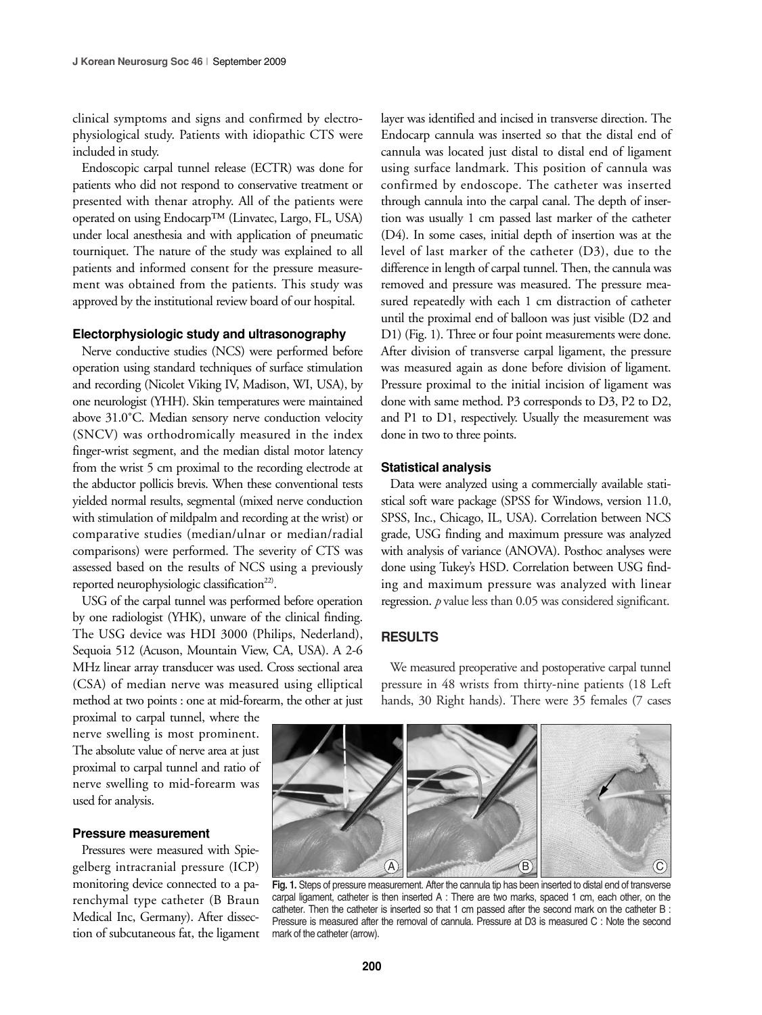clinical symptoms and signs and confirmed by electrophysiological study. Patients with idiopathic CTS were included in study.

Endoscopic carpal tunnel release (ECTR) was done for patients who did not respond to conservative treatment or presented with thenar atrophy. All of the patients were operated on using Endocarp™ (Linvatec, Largo, FL, USA) under local anesthesia and with application of pneumatic tourniquet. The nature of the study was explained to all patients and informed consent for the pressure measurement was obtained from the patients. This study was approved by the institutional review board of our hospital.

#### **Electorphysiologic study and ultrasonography**

Nerve conductive studies (NCS) were performed before operation using standard techniques of surface stimulation and recording (Nicolet Viking IV, Madison, WI, USA), by one neurologist (YHH). Skin temperatures were maintained above 31.0˚C. Median sensory nerve conduction velocity (SNCV) was orthodromically measured in the index finger-wrist segment, and the median distal motor latency from the wrist 5 cm proximal to the recording electrode at the abductor pollicis brevis. When these conventional tests yielded normal results, segmental (mixed nerve conduction with stimulation of mildpalm and recording at the wrist) or comparative studies (median/ulnar or median/radial comparisons) were performed. The severity of CTS was assessed based on the results of NCS using a previously reported neurophysiologic classification<sup>22)</sup>.

USG of the carpal tunnel was performed before operation by one radiologist (YHK), unware of the clinical finding. The USG device was HDI 3000 (Philips, Nederland), Sequoia 512 (Acuson, Mountain View, CA, USA). A 2-6 MHz linear array transducer was used. Cross sectional area (CSA) of median nerve was measured using elliptical method at two points : one at mid-forearm, the other at just

proximal to carpal tunnel, where the nerve swelling is most prominent. The absolute value of nerve area at just proximal to carpal tunnel and ratio of nerve swelling to mid-forearm was used for analysis.

#### **Pressure measurement**

Pressures were measured with Spiegelberg intracranial pressure (ICP) monitoring device connected to a parenchymal type catheter (B Braun Medical Inc, Germany). After dissection of subcutaneous fat, the ligament layer was identified and incised in transverse direction. The Endocarp cannula was inserted so that the distal end of cannula was located just distal to distal end of ligament using surface landmark. This position of cannula was confirmed by endoscope. The catheter was inserted through cannula into the carpal canal. The depth of insertion was usually 1 cm passed last marker of the catheter (D4). In some cases, initial depth of insertion was at the level of last marker of the catheter (D3), due to the difference in length of carpal tunnel. Then, the cannula was removed and pressure was measured. The pressure measured repeatedly with each 1 cm distraction of catheter until the proximal end of balloon was just visible (D2 and D1) (Fig. 1). Three or four point measurements were done. After division of transverse carpal ligament, the pressure was measured again as done before division of ligament. Pressure proximal to the initial incision of ligament was done with same method. P3 corresponds to D3, P2 to D2, and P1 to D1, respectively. Usually the measurement was done in two to three points.

#### **Statistical analysis**

Data were analyzed using a commercially available statistical soft ware package (SPSS for Windows, version 11.0, SPSS, Inc., Chicago, IL, USA). Correlation between NCS grade, USG finding and maximum pressure was analyzed with analysis of variance (ANOVA). Posthoc analyses were done using Tukey's HSD. Correlation between USG finding and maximum pressure was analyzed with linear regression. *p* value less than 0.05 was considered significant.

### **RESULTS**

We measured preoperative and postoperative carpal tunnel pressure in 48 wrists from thirty-nine patients (18 Left hands, 30 Right hands). There were 35 females (7 cases



**Fig. 1.** Steps of pressure measurement. After the cannula tip has been inserted to distal end of transverse carpal ligament, catheter is then inserted A : There are two marks, spaced 1 cm, each other, on the catheter. Then the catheter is inserted so that 1 cm passed after the second mark on the catheter B : Pressure is measured after the removal of cannula. Pressure at D3 is measured C : Note the second mark of the catheter (arrow).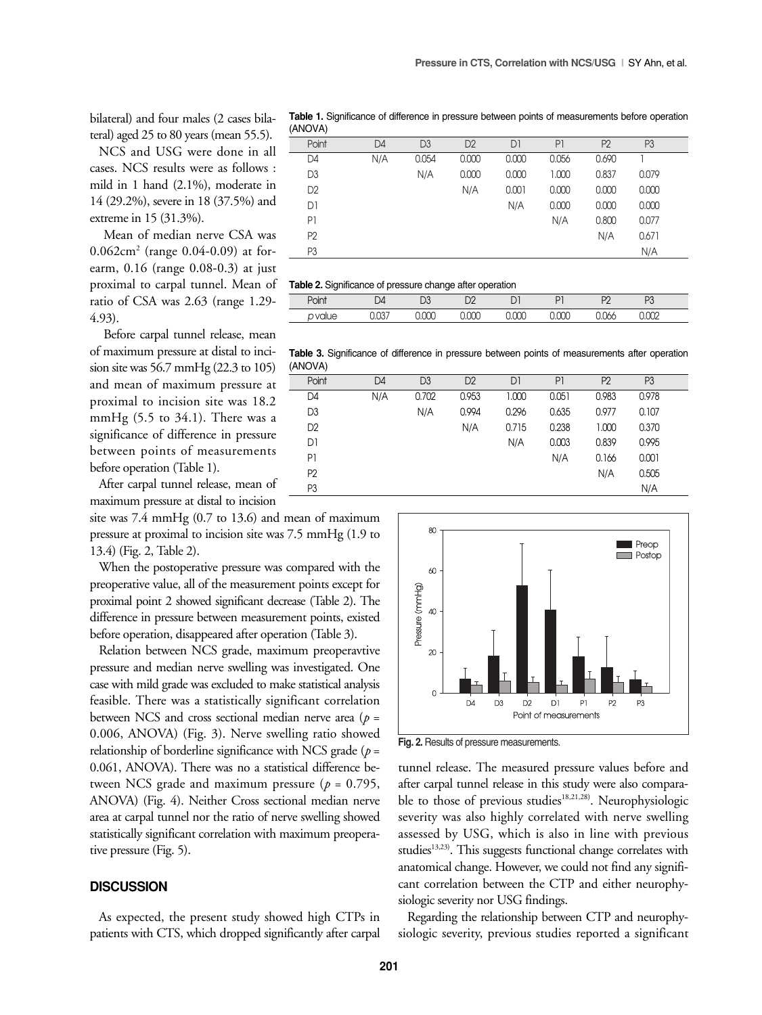bilateral) and four males (2 cases bilateral) aged 25 to 80 years (mean 55.5).

NCS and USG were done in all cases. NCS results were as follows : mild in 1 hand (2.1%), moderate in 14 (29.2%), severe in 18 (37.5%) and extreme in 15 (31.3%).

Mean of median nerve CSA was 0.062cm<sup>2</sup> (range 0.04-0.09) at forearm, 0.16 (range 0.08-0.3) at just proximal to carpal tunnel. Mean of ratio of CSA was 2.63 (range 1.29- 4.93).

Before carpal tunnel release, mean of maximum pressure at distal to incision site was 56.7 mmHg (22.3 to 105) and mean of maximum pressure at proximal to incision site was 18.2 mmHg  $(5.5 \text{ to } 34.1)$ . There was a significance of difference in pressure between points of measurements before operation (Table 1).

After carpal tunnel release, mean of maximum pressure at distal to incision

site was 7.4 mmHg (0.7 to 13.6) and mean of maximum pressure at proximal to incision site was 7.5 mmHg (1.9 to 13.4) (Fig. 2, Table 2).

When the postoperative pressure was compared with the preoperative value, all of the measurement points except for proximal point 2 showed significant decrease (Table 2). The difference in pressure between measurement points, existed before operation, disappeared after operation (Table 3).

Relation between NCS grade, maximum preoperavtive pressure and median nerve swelling was investigated. One case with mild grade was excluded to make statistical analysis feasible. There was a statistically significant correlation between NCS and cross sectional median nerve area (*p* = 0.006, ANOVA) (Fig. 3). Nerve swelling ratio showed relationship of borderline significance with NCS grade (*p* = 0.061, ANOVA). There was no a statistical difference between NCS grade and maximum pressure (*p* = 0.795, ANOVA) (Fig. 4). Neither Cross sectional median nerve area at carpal tunnel nor the ratio of nerve swelling showed statistically significant correlation with maximum preoperative pressure (Fig. 5).

#### **DISCUSSION**

As expected, the present study showed high CTPs in patients with CTS, which dropped significantly after carpal

**Table 1.** Significance of difference in pressure between points of measurements before operation (ANOVA)

| Point          | D <sub>4</sub> | D <sub>3</sub> | D <sub>2</sub> | D1    | P1    | P <sub>2</sub> | P <sub>3</sub> |  |
|----------------|----------------|----------------|----------------|-------|-------|----------------|----------------|--|
| D4             | N/A            | 0.054          | 0.000          | 0.000 | 0.056 | 0.690          |                |  |
| D3             |                | N/A            | 0.000          | 0.000 | 1.000 | 0.837          | 0.079          |  |
| D <sub>2</sub> |                |                | N/A            | 0.001 | 0.000 | 0.000          | 0.000          |  |
| D1             |                |                |                | N/A   | 0.000 | 0.000          | 0.000          |  |
| P1             |                |                |                |       | N/A   | 0.800          | 0.077          |  |
| P <sub>2</sub> |                |                |                |       |       | N/A            | 0.671          |  |
| P <sub>3</sub> |                |                |                |       |       |                | N/A            |  |
|                |                |                |                |       |       |                |                |  |

| _                            |               | -        | . .     |        |        |        |                |  |
|------------------------------|---------------|----------|---------|--------|--------|--------|----------------|--|
| Point                        | $\mathcal{L}$ | n o<br>◡ | r∼<br>◡ | ◡      | D.     | $\sim$ | D <sub>o</sub> |  |
| $\overline{1}$<br>$\sqrt{2}$ | $\sim$ -      | $\sim$   | $\sim$  | $\sim$ | $\sim$ |        | $\sim$         |  |
|                              |               |          |         |        |        |        |                |  |

**Table 3.** Significance of difference in pressure between points of measurements after operation (ANOVA)

| .              |                |                |                |       |                |                |                |  |
|----------------|----------------|----------------|----------------|-------|----------------|----------------|----------------|--|
| Point          | D <sub>4</sub> | D <sub>3</sub> | D <sub>2</sub> | D1    | P <sub>1</sub> | P <sub>2</sub> | P <sub>3</sub> |  |
| D4             | N/A            | 0.702          | 0.953          | 1.000 | 0.051          | 0.983          | 0.978          |  |
| D <sub>3</sub> |                | N/A            | 0.994          | 0.296 | 0.635          | 0.977          | 0.107          |  |
| D <sub>2</sub> |                |                | N/A            | 0.715 | 0.238          | 1.000          | 0.370          |  |
| D1             |                |                |                | N/A   | 0.003          | 0.839          | 0.995          |  |
| P1             |                |                |                |       | N/A            | 0.166          | 0.001          |  |
| P <sub>2</sub> |                |                |                |       |                | N/A            | 0.505          |  |
| P <sub>3</sub> |                |                |                |       |                |                | N/A            |  |



**Fig. 2.** Results of pressure measurements.

tunnel release. The measured pressure values before and after carpal tunnel release in this study were also comparable to those of previous studies<sup>18,21,28)</sup>. Neurophysiologic severity was also highly correlated with nerve swelling assessed by USG, which is also in line with previous studies<sup>13,23)</sup>. This suggests functional change correlates with anatomical change. However, we could not find any significant correlation between the CTP and either neurophysiologic severity nor USG findings.

Regarding the relationship between CTP and neurophysiologic severity, previous studies reported a significant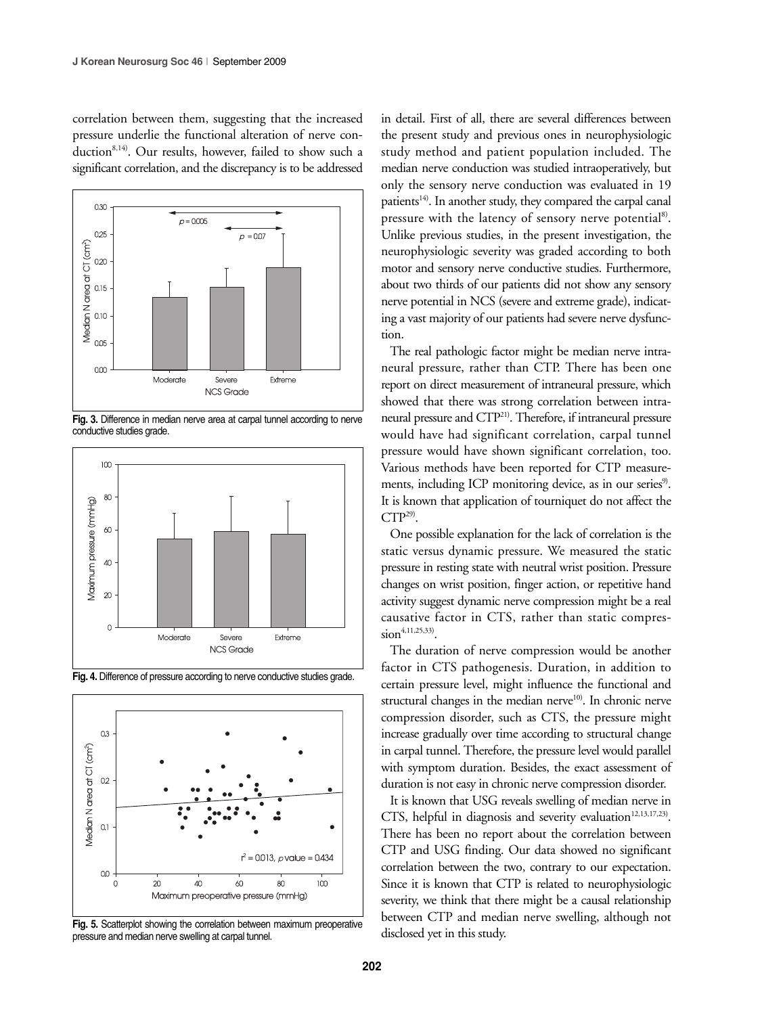correlation between them, suggesting that the increased pressure underlie the functional alteration of nerve conduction<sup>8,14)</sup>. Our results, however, failed to show such a significant correlation, and the discrepancy is to be addressed



**Fig. 3.** Difference in median nerve area at carpal tunnel according to nerve conductive studies grade.



**Fig. 4.** Difference of pressure according to nerve conductive studies grade.



Fig. 5. Scatterplot showing the correlation between maximum preoperative pressure and median nerve swelling at carpal tunnel.

in detail. First of all, there are several differences between the present study and previous ones in neurophysiologic study method and patient population included. The median nerve conduction was studied intraoperatively, but only the sensory nerve conduction was evaluated in 19 patients<sup> $14$ </sup>. In another study, they compared the carpal canal pressure with the latency of sensory nerve potential<sup>8)</sup>. Unlike previous studies, in the present investigation, the neurophysiologic severity was graded according to both motor and sensory nerve conductive studies. Furthermore, about two thirds of our patients did not show any sensory nerve potential in NCS (severe and extreme grade), indicating a vast majority of our patients had severe nerve dysfunction.

The real pathologic factor might be median nerve intraneural pressure, rather than CTP. There has been one report on direct measurement of intraneural pressure, which showed that there was strong correlation between intraneural pressure and CTP21). Therefore, if intraneural pressure would have had significant correlation, carpal tunnel pressure would have shown significant correlation, too. Various methods have been reported for CTP measurements, including ICP monitoring device, as in our series<sup>9)</sup>. It is known that application of tourniquet do not affect the  $CTP<sup>29</sup>$ .

One possible explanation for the lack of correlation is the static versus dynamic pressure. We measured the static pressure in resting state with neutral wrist position. Pressure changes on wrist position, finger action, or repetitive hand activity suggest dynamic nerve compression might be a real causative factor in CTS, rather than static compres- $\sin^{4,11,25,33}$ 

The duration of nerve compression would be another factor in CTS pathogenesis. Duration, in addition to certain pressure level, might influence the functional and structural changes in the median nerve $10$ . In chronic nerve compression disorder, such as CTS, the pressure might increase gradually over time according to structural change in carpal tunnel. Therefore, the pressure level would parallel with symptom duration. Besides, the exact assessment of duration is not easy in chronic nerve compression disorder.

It is known that USG reveals swelling of median nerve in CTS, helpful in diagnosis and severity evaluation<sup>12,13,17,23)</sup>. There has been no report about the correlation between CTP and USG finding. Our data showed no significant correlation between the two, contrary to our expectation. Since it is known that CTP is related to neurophysiologic severity, we think that there might be a causal relationship between CTP and median nerve swelling, although not disclosed yet in this study.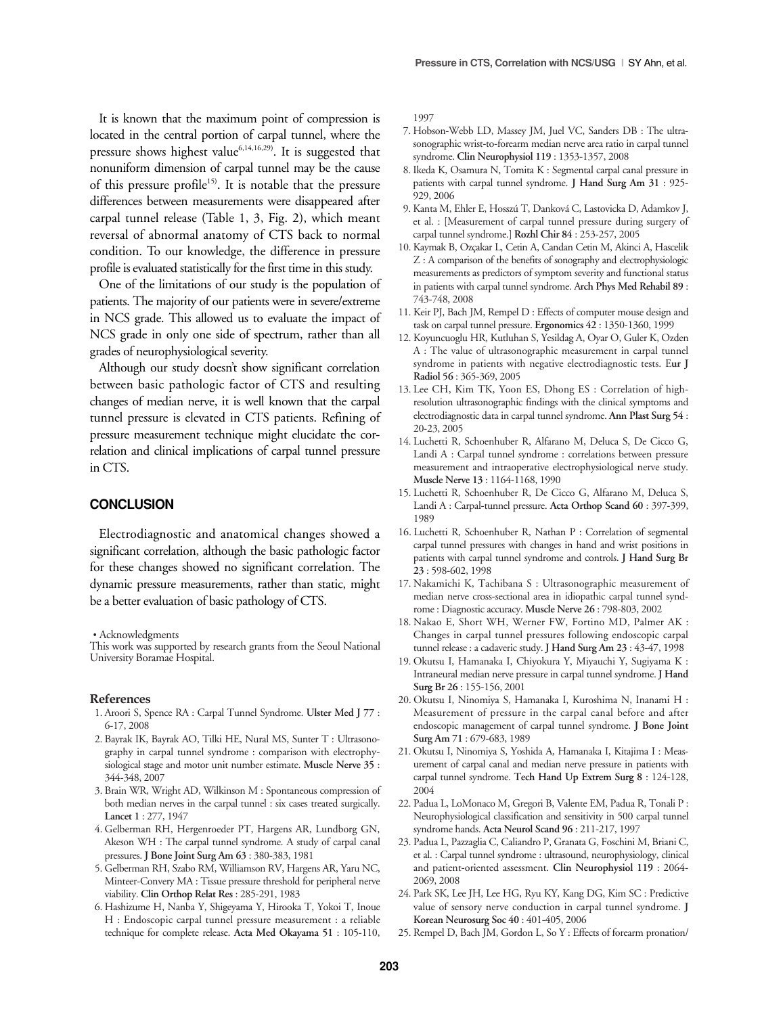It is known that the maximum point of compression is located in the central portion of carpal tunnel, where the pressure shows highest value<sup>6,14,16,29)</sup>. It is suggested that nonuniform dimension of carpal tunnel may be the cause of this pressure profile<sup>15)</sup>. It is notable that the pressure differences between measurements were disappeared after carpal tunnel release (Table 1, 3, Fig. 2), which meant reversal of abnormal anatomy of CTS back to normal condition. To our knowledge, the difference in pressure profile is evaluated statistically for the first time in this study.

One of the limitations of our study is the population of patients. The majority of our patients were in severe/extreme in NCS grade. This allowed us to evaluate the impact of NCS grade in only one side of spectrum, rather than all grades of neurophysiological severity.

Although our study doesn't show significant correlation between basic pathologic factor of CTS and resulting changes of median nerve, it is well known that the carpal tunnel pressure is elevated in CTS patients. Refining of pressure measurement technique might elucidate the correlation and clinical implications of carpal tunnel pressure in CTS.

### **CONCLUSION**

Electrodiagnostic and anatomical changes showed a significant correlation, although the basic pathologic factor for these changes showed no significant correlation. The dynamic pressure measurements, rather than static, might be a better evaluation of basic pathology of CTS.

• Acknowledgments

This work was supported by research grants from the Seoul National University Boramae Hospital.

#### **References**

- 1. Aroori S, Spence RA : Carpal Tunnel Syndrome. **Ulster Med J 77** : 6-17, 2008
- 2. Bayrak IK, Bayrak AO, Tilki HE, Nural MS, Sunter T : Ultrasonography in carpal tunnel syndrome : comparison with electrophysiological stage and motor unit number estimate. **Muscle Nerve 35** : 344-348, 2007
- 3. Brain WR, Wright AD, Wilkinson M : Spontaneous compression of both median nerves in the carpal tunnel : six cases treated surgically. **Lancet 1** : 277, 1947
- 4. Gelberman RH, Hergenroeder PT, Hargens AR, Lundborg GN, Akeson WH : The carpal tunnel syndrome. A study of carpal canal pressures. **J Bone Joint Surg Am 63** : 380-383, 1981
- 5. Gelberman RH, Szabo RM, Williamson RV, Hargens AR, Yaru NC, Minteer-Convery MA : Tissue pressure threshold for peripheral nerve viability. **Clin Orthop Relat Res** : 285-291, 1983
- 6. Hashizume H, Nanba Y, Shigeyama Y, Hirooka T, Yokoi T, Inoue H : Endoscopic carpal tunnel pressure measurement : a reliable technique for complete release. **Acta Med Okayama 51** : 105-110,

1997

- 7. Hobson-Webb LD, Massey JM, Juel VC, Sanders DB : The ultrasonographic wrist-to-forearm median nerve area ratio in carpal tunnel syndrome. **Clin Neurophysiol 119** : 1353-1357, 2008
- 8. Ikeda K, Osamura N, Tomita K : Segmental carpal canal pressure in patients with carpal tunnel syndrome. **J Hand Surg Am 31** : 925- 929, 2006
- 9. Kanta M, Ehler E, Hosszú T, Danková C, Lastovicka D, Adamkov J, et al. : [Measurement of carpal tunnel pressure during surgery of carpal tunnel syndrome.] **Rozhl Chir 84** : 253-257, 2005
- 10. Kaymak B, Ozçakar L, Cetin A, Candan Cetin M, Akinci A, Hascelik Z : A comparison of the benefits of sonography and electrophysiologic measurements as predictors of symptom severity and functional status in patients with carpal tunnel syndrome. A**rch Phys Med Rehabil 89** : 743-748, 2008
- 11. Keir PJ, Bach JM, Rempel D : Effects of computer mouse design and task on carpal tunnel pressure. **Ergonomics 42** : 1350-1360, 1999
- 12. Koyuncuoglu HR, Kutluhan S, Yesildag A, Oyar O, Guler K, Ozden A : The value of ultrasonographic measurement in carpal tunnel syndrome in patients with negative electrodiagnostic tests. E**ur J Radiol 56** : 365-369, 2005
- 13. Lee CH, Kim TK, Yoon ES, Dhong ES : Correlation of highresolution ultrasonographic findings with the clinical symptoms and electrodiagnostic data in carpal tunnel syndrome. **Ann Plast Surg 54** : 20-23, 2005
- 14. Luchetti R, Schoenhuber R, Alfarano M, Deluca S, De Cicco G, Landi A : Carpal tunnel syndrome : correlations between pressure measurement and intraoperative electrophysiological nerve study. **Muscle Nerve 13** : 1164-1168, 1990
- 15. Luchetti R, Schoenhuber R, De Cicco G, Alfarano M, Deluca S, Landi A : Carpal-tunnel pressure. **Acta Orthop Scand 60** : 397-399, 1989
- 16. Luchetti R, Schoenhuber R, Nathan P : Correlation of segmental carpal tunnel pressures with changes in hand and wrist positions in patients with carpal tunnel syndrome and controls. **J Hand Surg Br 23** : 598-602, 1998
- 17. Nakamichi K, Tachibana S : Ultrasonographic measurement of median nerve cross-sectional area in idiopathic carpal tunnel syndrome : Diagnostic accuracy. **Muscle Nerve 26** : 798-803, 2002
- 18. Nakao E, Short WH, Werner FW, Fortino MD, Palmer AK : Changes in carpal tunnel pressures following endoscopic carpal tunnel release : a cadaveric study. **J Hand Surg Am 23** : 43-47, 1998
- 19. Okutsu I, Hamanaka I, Chiyokura Y, Miyauchi Y, Sugiyama K : Intraneural median nerve pressure in carpal tunnel syndrome. **J Hand Surg Br 26** : 155-156, 2001
- 20. Okutsu I, Ninomiya S, Hamanaka I, Kuroshima N, Inanami H : Measurement of pressure in the carpal canal before and after endoscopic management of carpal tunnel syndrome. **J Bone Joint Surg Am 71** : 679-683, 1989
- 21. Okutsu I, Ninomiya S, Yoshida A, Hamanaka I, Kitajima I : Measurement of carpal canal and median nerve pressure in patients with carpal tunnel syndrome. **Tech Hand Up Extrem Surg 8** : 124-128, 2004
- 22. Padua L, LoMonaco M, Gregori B, Valente EM, Padua R, Tonali P : Neurophysiological classification and sensitivity in 500 carpal tunnel syndrome hands. **Acta Neurol Scand 96** : 211-217, 1997
- 23. Padua L, Pazzaglia C, Caliandro P, Granata G, Foschini M, Briani C, et al. : Carpal tunnel syndrome : ultrasound, neurophysiology, clinical and patient-oriented assessment. **Clin Neurophysiol 119** : 2064- 2069, 2008
- 24. Park SK, Lee JH, Lee HG, Ryu KY, Kang DG, Kim SC : Predictive value of sensory nerve conduction in carpal tunnel syndrome. **J Korean Neurosurg Soc 40** : 401-405, 2006
- 25. Rempel D, Bach JM, Gordon L, So Y : Effects of forearm pronation/